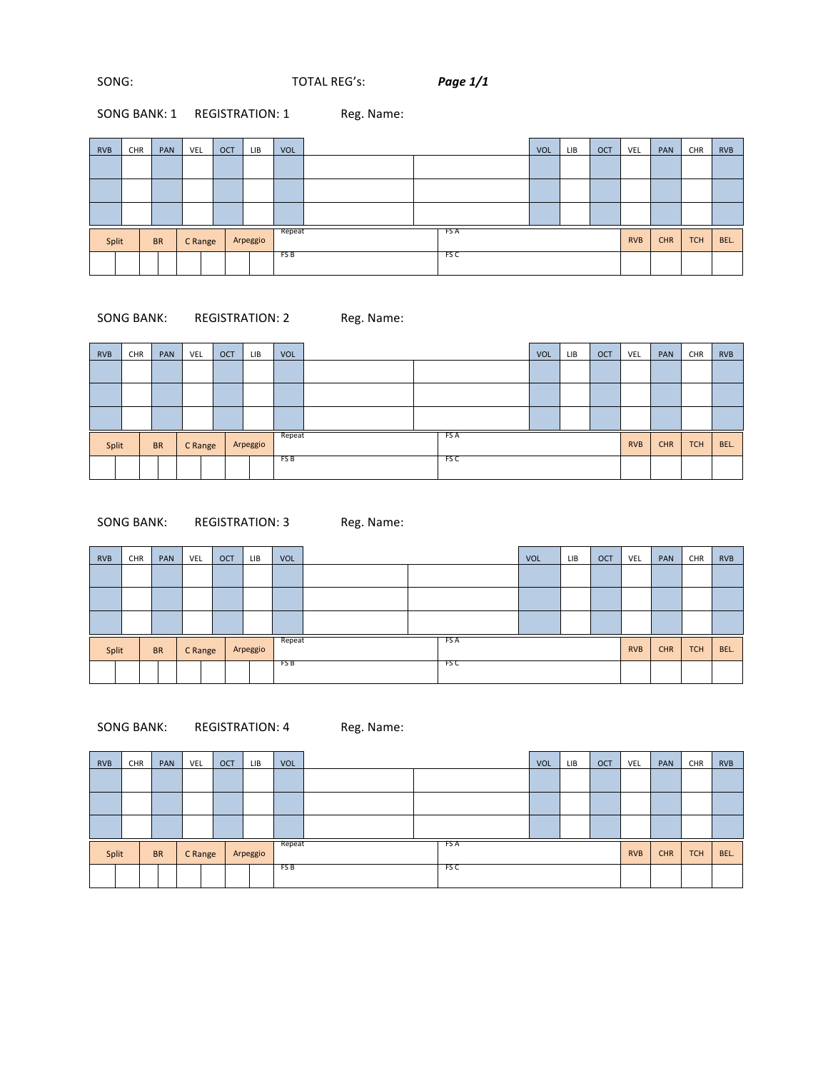## SONG: **FOTAL REG's:** *Page 1/1*

# SONG BANK: 1 REGISTRATION: 1 Reg. Name:

| <b>RVB</b> | CHR | PAN       | <b>VEL</b> |         | <b>OCT</b> | LIB      | <b>VOL</b> |  |      | <b>VOL</b> | <b>LIB</b> | <b>OCT</b> | VEL        | PAN        | CHR        | <b>RVB</b> |
|------------|-----|-----------|------------|---------|------------|----------|------------|--|------|------------|------------|------------|------------|------------|------------|------------|
|            |     |           |            |         |            |          |            |  |      |            |            |            |            |            |            |            |
|            |     |           |            |         |            |          |            |  |      |            |            |            |            |            |            |            |
|            |     |           |            |         |            |          |            |  |      |            |            |            |            |            |            |            |
| Split      |     | <b>BR</b> |            | C Range |            | Arpeggio | Repeat     |  | FS A |            |            |            | <b>RVB</b> | <b>CHR</b> | <b>TCH</b> | BEL.       |
|            |     |           |            |         |            |          | FS B       |  | FS C |            |            |            |            |            |            |            |

## SONG BANK: REGISTRATION: 2 Reg. Name:

| <b>RVB</b> | CHR | PAN       | VEL |         | <b>OCT</b> | LIB      | <b>VOL</b> |      |  |      | <b>VOL</b> | LIB | <b>OCT</b> | VEL        | PAN        | CHR        | <b>RVB</b> |
|------------|-----|-----------|-----|---------|------------|----------|------------|------|--|------|------------|-----|------------|------------|------------|------------|------------|
|            |     |           |     |         |            |          |            |      |  |      |            |     |            |            |            |            |            |
|            |     |           |     |         |            |          |            |      |  |      |            |     |            |            |            |            |            |
|            |     |           |     |         |            |          |            |      |  |      |            |     |            |            |            |            |            |
| Split      |     | <b>BR</b> |     | C Range |            | Arpeggio | Repeat     |      |  | FS A |            |     |            | <b>RVB</b> | <b>CHR</b> | <b>TCH</b> | BEL.       |
|            |     |           |     |         |            |          | FS B       | FS C |  |      |            |     |            |            |            |            |            |

## SONG BANK: REGISTRATION: 3 Reg. Name:

| <b>RVB</b> | CHR |           | PAN | <b>VEL</b> | <b>OCT</b> | LIB      | <b>VOL</b> |  |  |      | <b>VOL</b> | <b>LIB</b> | <b>OCT</b> | VEL        | PAN        | CHR        | <b>RVB</b> |
|------------|-----|-----------|-----|------------|------------|----------|------------|--|--|------|------------|------------|------------|------------|------------|------------|------------|
|            |     |           |     |            |            |          |            |  |  |      |            |            |            |            |            |            |            |
|            |     |           |     |            |            |          |            |  |  |      |            |            |            |            |            |            |            |
|            |     |           |     |            |            |          |            |  |  |      |            |            |            |            |            |            |            |
| Split      |     | <b>BR</b> |     | C Range    |            | Arpeggio | Repeat     |  |  | FS A |            |            |            | <b>RVB</b> | <b>CHR</b> | <b>TCH</b> | BEL.       |
|            |     |           |     |            |            |          | FS B       |  |  | FSC  |            |            |            |            |            |            |            |

## SONG BANK: REGISTRATION: 4 Reg. Name:

| <b>RVB</b> | <b>CHR</b> | PAN       | VEL     | <b>OCT</b> | LIB      | <b>VOL</b> |      | VOL | LIB. | OCT | VEL        | PAN        | CHR        | <b>RVB</b> |
|------------|------------|-----------|---------|------------|----------|------------|------|-----|------|-----|------------|------------|------------|------------|
|            |            |           |         |            |          |            |      |     |      |     |            |            |            |            |
|            |            |           |         |            |          |            |      |     |      |     |            |            |            |            |
|            |            |           |         |            |          |            |      |     |      |     |            |            |            |            |
| Split      |            | <b>BR</b> | C Range |            | Arpeggio | Repeat     | FS A |     |      |     | <b>RVB</b> | <b>CHR</b> | <b>TCH</b> | BEL.       |
|            |            |           |         |            |          | FS B       | FS C |     |      |     |            |            |            |            |